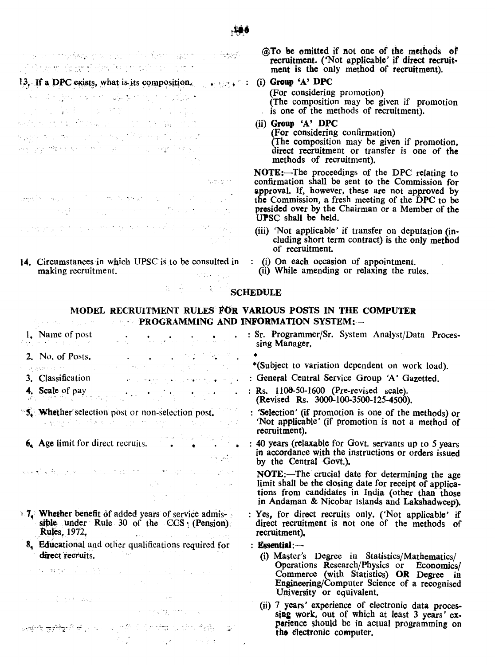man menyhatan ini misih kan giring melak A Grant to the profit derivative of a profit of the state

13. If a DPC exists, what is its composition.  $\cdot$   $\cdot$   $\cdot$ a ke shi ye a shekara ta 1990 2008年4月1日, 1999年4月11日, 1999年4月  $\label{eq:G1} \det \tilde{f}(\gamma,\gamma) = \frac{1}{2} \sum_{i=1}^n \tilde{f}(\gamma) \sum_{i=1}^n \tilde{f}(\gamma) \sum_{i=1}^n \tilde{f}(\gamma) \sum_{i=1}^n \tilde{f}(\gamma) \sum_{i=1}^n \tilde{f}(\gamma) \sum_{i=1}^n \tilde{f}(\gamma) \sum_{i=1}^n \tilde{f}(\gamma) \sum_{i=1}^n \tilde{f}(\gamma) \sum_{i=1}^n \tilde{f}(\gamma) \sum_{i=1}^n \tilde{f}(\gamma) \sum_{i=1}^n \til$ 남동이 아니까 아니까 승규는 일이 되는 것이 있죠? 网络白细胞 网络大型大型 计分布 计可编译程序 医胸膜下 化罐 医单位 医血管

分的复数  $\lim_{t\to\infty}\sum_{i=1}^k\sum_{j=1}^k\sum_{j=1}^k\sum_{j=1}^k\sum_{j=1}^k\sum_{j=1}^k\sum_{j=1}^k\sum_{j=1}^k\sum_{j=1}^k\sum_{j=1}^k\sum_{j=1}^k\sum_{j=1}^k\sum_{j=1}^k\sum_{j=1}^k\sum_{j=1}^k\sum_{j=1}^k\sum_{j=1}^k\sum_{j=1}^k\sum_{j=1}^k\sum_{j=1}^k\sum_{j=1}^k\sum_{j=1}^k\sum_{j=1}^k\sum_{j$ **不是这个人的人不可以是他不是一个人。** ga tropical potencial of the power of the anti-section of the state of

14. Circumstances in which UPSC is to be consulted in making recruitment.

@To be omitted if not one of the methods ot recruitment. ('Not applicable' if direct recruitment is the only method of recruitment).

# (i) Group 'A' DPC

(For considering promotion) (The composition may be given if promotion is one of the methods of recruitment).

(ii) Group 'A' DPC (For considering confirmation) (The composition may be given if promotion, direct recruitment or transfer is one of the methods of recruitment).

NOTE:-The proceedings of the DPC relating to confirmation shall be sent to the Commission for approval. If, however, these are not approved by the Commission, a fresh meeting of the DPC to be presided over by the Chairman or a Member of the UPSC shall be held.

 $(iii)$  'Not applicable' if transfer on deputation  $(in$ eluding short term contract) is the only method of recruitment.

perience should be in actual programming on

the electronic computer.

- (i) On each occasion of appointment.
	- (ii) While amending or relaxing the rules.

## **SCHEDULE**

### MODEL RECRUITMENT RULES· FOR VARIOUS POSTS IN THE COMPUTER  $\blacksquare$   $\blacksquare$   $\blacksquare$   $\blacksquare$   $\blacksquare$   $\blacksquare$   $\blacksquare$   $\blacksquare$   $\blacksquare$   $\blacksquare$   $\blacksquare$   $\blacksquare$   $\blacksquare$   $\blacksquare$   $\blacksquare$   $\blacksquare$   $\blacksquare$   $\blacksquare$   $\blacksquare$   $\blacksquare$   $\blacksquare$   $\blacksquare$   $\blacksquare$   $\blacksquare$   $\blacksquare$   $\blacksquare$   $\blacksquare$   $\blacksquare$   $\blacksquare$   $\blacksquare$   $\blacksquare$   $\blacks$

五、第二、三、第三

- : Sr. Programmer/Sr. System Analyst/Data Proces-1. Name of post ال التي توجه التي توجه التي توجه التي توجه التي توجه التي توجه التي توجه التي توجه التي توجه التي توجه التي تو<br>معاني الموجه التي توجه التي توجه التي توجه التي توجه التي توجه التي توجه التي توجه التي توجه التي توجه التي ت sing Manager, 2. No. of Posts. \*<br>\*(Subject to variation dependent on work load). المتراد والمستور المتحال والمستحيل والمستحيل a provincia del co 3. Classification : General Central Service Group 'A' Gazetted. المتواصل متوجر بالممارك مستحار المستعمر 4. Scale of pay  $\cdot \cdot \cdot$ : Rs. 1106-50-1600 (Pre-revised scale). (Revised Rs. 3000-100-3500-125-4500). 5. Whether selection post or non-selection post. : 'Selection' (if promotion is one of the methods) or  $\frac{1}{2}$  and  $\frac{1}{2}$  is the set  $\frac{1}{2}$  . The strength of  $\frac{1}{2}$  and  $\frac{1}{2}$ 'Not applicable' (if promotion is not a method of recruitment).  $6$  Age limit for direct recruits. • : 40 years (relaxable for Govt. servants up to 5 years in accordance with the instructions or orders issued الأنافي الأناف by the Central Govt.). 戦争 愛 新教 こうかい かかた はばい たいしょうしゅつ たしこうしょう NOTE:-The crucial date for determining the age  $\label{eq:Ricci} \mathcal{M}_\mathrm{c}(\mathbf{X}) = \mathcal{M}_\mathrm{c}(\mathbf{X}) = \mathcal{M}_\mathrm{c}(\mathbf{X}) = \mathcal{M}_\mathrm{c}(\mathbf{X})$ limit shall be the closing date for receipt of applications from candidates in India (other than those in Andaman & Nicobar Islands and Lakshadweep).  $\mathbb{Z}^2$ . Whether benefit of added years of service admis-: Yes, for direct recruits only. ('Not applicable' if sible under Rule 30 of the CCS;  $(Pension)$ direct recruitment is not one of the methods of Rules, 1972, . recruitment). 8, EdUcational and other qualifications required for  $:$  Essential: $$ direct recruits.  $\sim 100$ (i) Master's Degree in Statistics/Mathematics/ Operations Research/Physics or Economics/  $\mathcal{H}^{\alpha}(\mathcal{M})=\mathbf{W}_{\alpha}^{\alpha}(\mathbf{Z}^{(n)}\mathbf{Z}^{(n)}+\mathbf{Z}^{(n)}\mathbf{Z}^{(n)})\mathbf{Z}^{(n)}+\mathbf{W}_{\alpha}^{\alpha}(\mathbf{Z}^{(n)}+\mathbf{Z}^{(n)}\mathbf{Z}^{(n)}+\mathbf{Z}^{(n)}\mathbf{Z}^{(n)}\mathbf{Z}^{(n)}$ Commerce (with Statistics) OR Degree in Engineering/Computer Science of a recognised University or equivalent.  $\label{eq:2.1} \mathcal{L}(\mathcal{L}^{\mathcal{L}}(\mathcal{L}^{\mathcal{L}}(\mathcal{L}^{\mathcal{L}}(\mathcal{L}^{\mathcal{L}}(\mathcal{L}^{\mathcal{L}}(\mathcal{L}^{\mathcal{L}}(\mathcal{L}^{\mathcal{L}}(\mathcal{L}^{\mathcal{L}}(\mathcal{L}^{\mathcal{L}}(\mathcal{L}^{\mathcal{L}}(\mathcal{L}^{\mathcal{L}}(\mathcal{L}^{\mathcal{L}}(\mathcal{L}^{\mathcal{L}}(\mathcal{L}^{\mathcal{L}}(\mathcal{L}^{\mathcal{L}}(\mathcal{L}^{\mathcal$ and the property of the (ii) 7 years' experience of electronic data proces- $\label{eq:1} \mathcal{A} = \mathcal{A}^{\mathcal{A}}_{\mathcal{A}} \mathcal{A}^{\mathcal{A}}_{\mathcal{A}} \mathcal{A}^{\mathcal{A}}_{\mathcal{A}} \mathcal{A}^{\mathcal{A}}_{\mathcal{A}} \mathcal{A}^{\mathcal{A}}_{\mathcal{A}} \mathcal{A}^{\mathcal{A}}_{\mathcal{A}} \mathcal{A}^{\mathcal{A}}_{\mathcal{A}}$ sing work, out of which at least 3 years' ex-
	- ਛਾ<mark>ਂ ਦੀ</mark>ਈ ਗੀਤ ਪਾਸੀਟ ਪੱਤੀ ਹੈ। ਇਨ੍ਹਾਂ ਦਾ ਪਾਸੀਟੀ ਵੀ ਵਿੱਚ ਵਿੱਚ ਸਿੰਘ ਹੈ।<br>ਸਾਹਿਬ ਪਾਸੀਟੀ ਦਾ ਸ਼ਾਮਲ